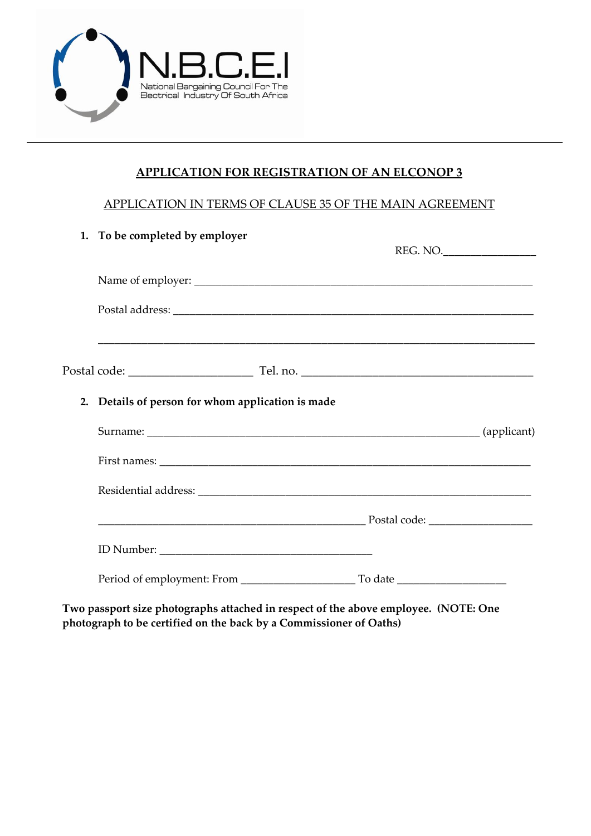

# **APPLICATION FOR REGISTRATION OF AN ELCONOP 3**

### APPLICATION IN TERMS OF CLAUSE 35 OF THE MAIN AGREEMENT

|  | 1. To be completed by employer                    | REG. NO. |  |
|--|---------------------------------------------------|----------|--|
|  |                                                   |          |  |
|  |                                                   |          |  |
|  |                                                   |          |  |
|  | 2. Details of person for whom application is made |          |  |
|  |                                                   |          |  |
|  |                                                   |          |  |
|  |                                                   |          |  |
|  |                                                   |          |  |
|  |                                                   |          |  |
|  |                                                   |          |  |

**Two passport size photographs attached in respect of the above employee. (NOTE: One photograph to be certified on the back by a Commissioner of Oaths)**